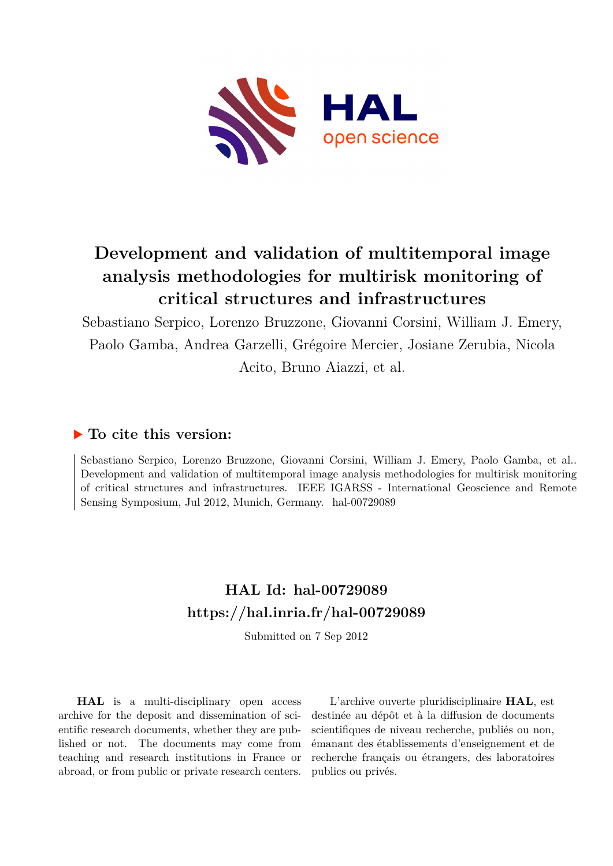

# **Development and validation of multitemporal image analysis methodologies for multirisk monitoring of critical structures and infrastructures**

Sebastiano Serpico, Lorenzo Bruzzone, Giovanni Corsini, William J. Emery, Paolo Gamba, Andrea Garzelli, Grégoire Mercier, Josiane Zerubia, Nicola Acito, Bruno Aiazzi, et al.

### **To cite this version:**

Sebastiano Serpico, Lorenzo Bruzzone, Giovanni Corsini, William J. Emery, Paolo Gamba, et al.. Development and validation of multitemporal image analysis methodologies for multirisk monitoring of critical structures and infrastructures. IEEE IGARSS - International Geoscience and Remote Sensing Symposium, Jul 2012, Munich, Germany. hal-00729089

## **HAL Id: hal-00729089 <https://hal.inria.fr/hal-00729089>**

Submitted on 7 Sep 2012

**HAL** is a multi-disciplinary open access archive for the deposit and dissemination of scientific research documents, whether they are published or not. The documents may come from teaching and research institutions in France or abroad, or from public or private research centers.

L'archive ouverte pluridisciplinaire **HAL**, est destinée au dépôt et à la diffusion de documents scientifiques de niveau recherche, publiés ou non, émanant des établissements d'enseignement et de recherche français ou étrangers, des laboratoires publics ou privés.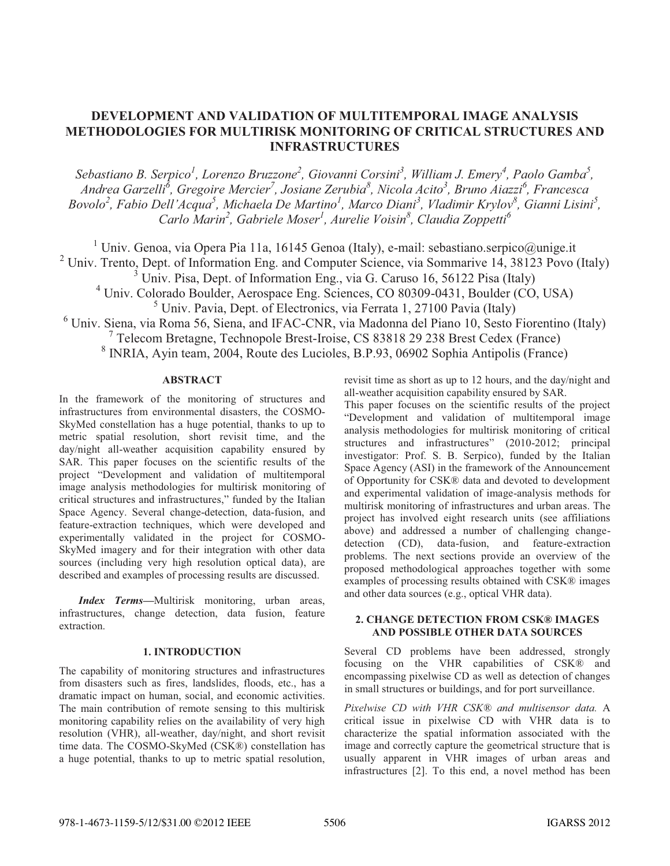### **DEVELOPMENT AND VALIDATION OF MULTITEMPORAL IMAGE ANALYSIS METHODOLOGIES FOR MULTIRISK MONITORING OF CRITICAL STRUCTURES AND INFRASTRUCTURES**

 $S$ ebastiano B. Serpico<sup>1</sup>, Lorenzo Bruzzone<sup>2</sup>, Giovanni Corsini<sup>3</sup>, William J. Emery<sup>4</sup>, Paolo Gamba<sup>5</sup>, *Andrea Garzelli<sup>6</sup> , Gregoire Mercier7 , Josiane Zerubia<sup>8</sup> , Nicola Acito3 , Bruno Aiazzi<sup>6</sup> , Francesca Bovolo<sup>2</sup> , Fabio Dell'Acqua<sup>5</sup> , Michaela De Martino<sup>1</sup> , Marco Diani<sup>3</sup> , Vladimir Krylov<sup>8</sup> , Gianni Lisini<sup>5</sup> , Carlo Marin<sup>2</sup> , Gabriele Moser1 , Aurelie Voisin<sup>8</sup> , Claudia Zoppetti6*

<sup>1</sup> Univ. Genoa, via Opera Pia 11a, 16145 Genoa (Italy), e-mail: sebastiano.serpico@unige.it  $2$  Univ. Trento, Dept. of Information Eng. and Computer Science, via Sommarive 14, 38123 Povo (Italy) <sup>3</sup> Univ. Pisa, Dept. of Information Eng., via G. Caruso 16, 56122 Pisa (Italy)

4 Univ. Colorado Boulder, Aerospace Eng. Sciences, CO 80309-0431, Boulder (CO, USA)

<sup>5</sup> Univ. Pavia, Dept. of Electronics, via Ferrata 1, 27100 Pavia (Italy)

<sup>6</sup> Univ. Siena, via Roma 56, Siena, and IFAC-CNR, via Madonna del Piano 10, Sesto Fiorentino (Italy) 7 Telecom Bretagne, Technopole Brest-Iroise, CS 83818 29 238 Brest Cedex (France)

8 INRIA, Ayin team, 2004, Route des Lucioles, B.P.93, 06902 Sophia Antipolis (France)

#### **ABSTRACT**

In the framework of the monitoring of structures and infrastructures from environmental disasters, the COSMO-SkyMed constellation has a huge potential, thanks to up to metric spatial resolution, short revisit time, and the day/night all-weather acquisition capability ensured by SAR. This paper focuses on the scientific results of the project "Development and validation of multitemporal image analysis methodologies for multirisk monitoring of critical structures and infrastructures," funded by the Italian Space Agency. Several change-detection, data-fusion, and feature-extraction techniques, which were developed and experimentally validated in the project for COSMO-SkyMed imagery and for their integration with other data sources (including very high resolution optical data), are described and examples of processing results are discussed.

*Index Terms—*Multirisk monitoring, urban areas, infrastructures, change detection, data fusion, feature extraction.

#### **1. INTRODUCTION**

The capability of monitoring structures and infrastructures from disasters such as fires, landslides, floods, etc., has a dramatic impact on human, social, and economic activities. The main contribution of remote sensing to this multirisk monitoring capability relies on the availability of very high resolution (VHR), all-weather, day/night, and short revisit time data. The COSMO-SkyMed (CSK®) constellation has a huge potential, thanks to up to metric spatial resolution,

revisit time as short as up to 12 hours, and the day/night and all-weather acquisition capability ensured by SAR.

This paper focuses on the scientific results of the project "Development and validation of multitemporal image analysis methodologies for multirisk monitoring of critical structures and infrastructures" (2010-2012; principal investigator: Prof. S. B. Serpico), funded by the Italian Space Agency (ASI) in the framework of the Announcement of Opportunity for CSK® data and devoted to development and experimental validation of image-analysis methods for multirisk monitoring of infrastructures and urban areas. The project has involved eight research units (see affiliations above) and addressed a number of challenging changedetection (CD), data-fusion, and feature-extraction problems. The next sections provide an overview of the proposed methodological approaches together with some examples of processing results obtained with CSK® images and other data sources (e.g., optical VHR data).

#### **2. CHANGE DETECTION FROM CSK® IMAGES AND POSSIBLE OTHER DATA SOURCES**

Several CD problems have been addressed, strongly focusing on the VHR capabilities of CSK® and encompassing pixelwise CD as well as detection of changes in small structures or buildings, and for port surveillance.

*Pixelwise CD with VHR CSK® and multisensor data.* A critical issue in pixelwise CD with VHR data is to characterize the spatial information associated with the image and correctly capture the geometrical structure that is usually apparent in VHR images of urban areas and infrastructures [2]. To this end, a novel method has been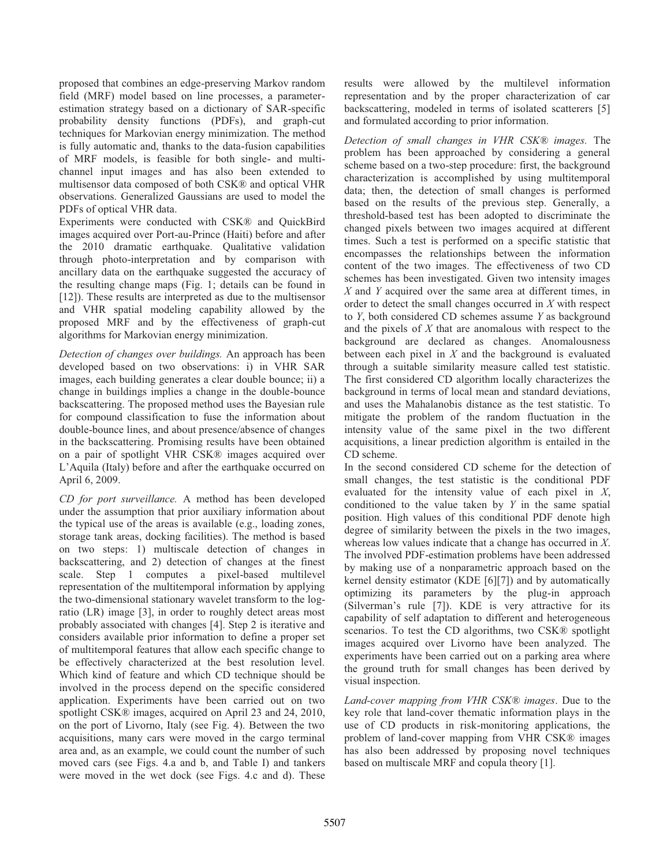proposed that combines an edge-preserving Markov random field (MRF) model based on line processes, a parameterestimation strategy based on a dictionary of SAR-specific probability density functions (PDFs), and graph-cut techniques for Markovian energy minimization. The method is fully automatic and, thanks to the data-fusion capabilities of MRF models, is feasible for both single- and multichannel input images and has also been extended to multisensor data composed of both CSK® and optical VHR observations. Generalized Gaussians are used to model the PDFs of optical VHR data.

Experiments were conducted with CSK® and QuickBird images acquired over Port-au-Prince (Haiti) before and after the 2010 dramatic earthquake. Qualitative validation through photo-interpretation and by comparison with ancillary data on the earthquake suggested the accuracy of the resulting change maps (Fig. 1; details can be found in [12]). These results are interpreted as due to the multisensor and VHR spatial modeling capability allowed by the proposed MRF and by the effectiveness of graph-cut algorithms for Markovian energy minimization.

*Detection of changes over buildings.* An approach has been developed based on two observations: i) in VHR SAR images, each building generates a clear double bounce; ii) a change in buildings implies a change in the double-bounce backscattering. The proposed method uses the Bayesian rule for compound classification to fuse the information about double-bounce lines, and about presence/absence of changes in the backscattering. Promising results have been obtained on a pair of spotlight VHR CSK® images acquired over L'Aquila (Italy) before and after the earthquake occurred on April 6, 2009.

*CD for port surveillance.* A method has been developed under the assumption that prior auxiliary information about the typical use of the areas is available (e.g., loading zones, storage tank areas, docking facilities). The method is based on two steps: 1) multiscale detection of changes in backscattering, and 2) detection of changes at the finest scale. Step 1 computes a pixel-based multilevel representation of the multitemporal information by applying the two-dimensional stationary wavelet transform to the logratio (LR) image [3], in order to roughly detect areas most probably associated with changes [4]. Step 2 is iterative and considers available prior information to define a proper set of multitemporal features that allow each specific change to be effectively characterized at the best resolution level. Which kind of feature and which CD technique should be involved in the process depend on the specific considered application. Experiments have been carried out on two spotlight CSK® images, acquired on April 23 and 24, 2010, on the port of Livorno, Italy (see Fig. 4). Between the two acquisitions, many cars were moved in the cargo terminal area and, as an example, we could count the number of such moved cars (see Figs. 4.a and b, and Table I) and tankers were moved in the wet dock (see Figs. 4.c and d). These

results were allowed by the multilevel information representation and by the proper characterization of car backscattering, modeled in terms of isolated scatterers [5] and formulated according to prior information.

*Detection of small changes in VHR CSK® images.* The problem has been approached by considering a general scheme based on a two-step procedure: first, the background characterization is accomplished by using multitemporal data; then, the detection of small changes is performed based on the results of the previous step. Generally, a threshold-based test has been adopted to discriminate the changed pixels between two images acquired at different times. Such a test is performed on a specific statistic that encompasses the relationships between the information content of the two images. The effectiveness of two CD schemes has been investigated. Given two intensity images *X* and *Y* acquired over the same area at different times, in order to detect the small changes occurred in *X* with respect to *Y*, both considered CD schemes assume *Y* as background and the pixels of *X* that are anomalous with respect to the background are declared as changes. Anomalousness between each pixel in *X* and the background is evaluated through a suitable similarity measure called test statistic. The first considered CD algorithm locally characterizes the background in terms of local mean and standard deviations, and uses the Mahalanobis distance as the test statistic. To mitigate the problem of the random fluctuation in the intensity value of the same pixel in the two different acquisitions, a linear prediction algorithm is entailed in the CD scheme.

In the second considered CD scheme for the detection of small changes, the test statistic is the conditional PDF evaluated for the intensity value of each pixel in *X*, conditioned to the value taken by *Y* in the same spatial position. High values of this conditional PDF denote high degree of similarity between the pixels in the two images, whereas low values indicate that a change has occurred in *X*. The involved PDF-estimation problems have been addressed by making use of a nonparametric approach based on the kernel density estimator (KDE [6][7]) and by automatically optimizing its parameters by the plug-in approach (Silverman's rule [7]). KDE is very attractive for its capability of self adaptation to different and heterogeneous scenarios. To test the CD algorithms, two CSK® spotlight images acquired over Livorno have been analyzed. The experiments have been carried out on a parking area where the ground truth for small changes has been derived by visual inspection.

*Land-cover mapping from VHR CSK® images*. Due to the key role that land-cover thematic information plays in the use of CD products in risk-monitoring applications, the problem of land-cover mapping from VHR CSK® images has also been addressed by proposing novel techniques based on multiscale MRF and copula theory [1].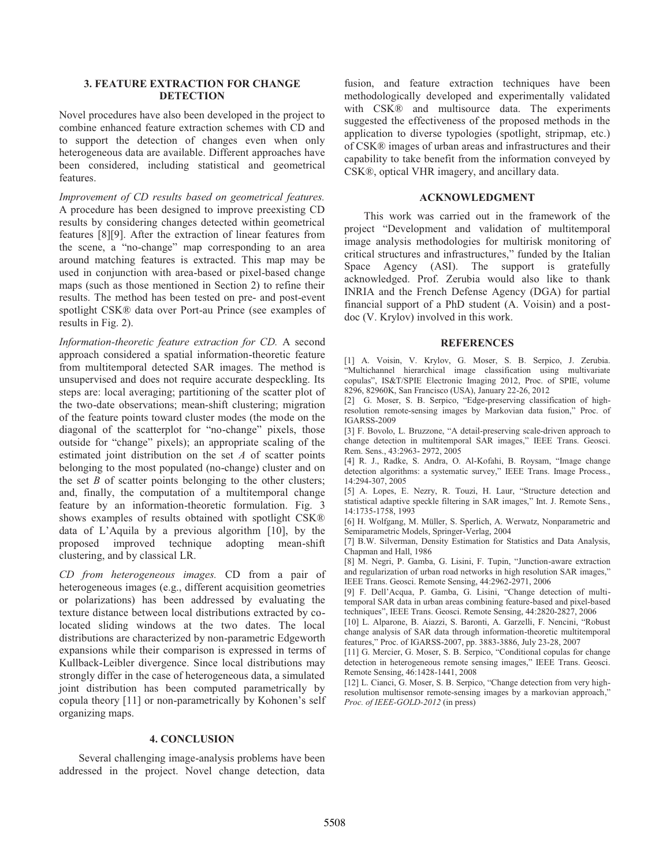#### **3. FEATURE EXTRACTION FOR CHANGE DETECTION**

Novel procedures have also been developed in the project to combine enhanced feature extraction schemes with CD and to support the detection of changes even when only heterogeneous data are available. Different approaches have been considered, including statistical and geometrical features.

*Improvement of CD results based on geometrical features.* A procedure has been designed to improve preexisting CD results by considering changes detected within geometrical features [8][9]. After the extraction of linear features from the scene, a "no-change" map corresponding to an area around matching features is extracted. This map may be used in conjunction with area-based or pixel-based change maps (such as those mentioned in Section 2) to refine their results. The method has been tested on pre- and post-event spotlight CSK® data over Port-au Prince (see examples of results in Fig. 2).

*Information-theoretic feature extraction for CD.* A second approach considered a spatial information-theoretic feature from multitemporal detected SAR images. The method is unsupervised and does not require accurate despeckling. Its steps are: local averaging; partitioning of the scatter plot of the two-date observations; mean-shift clustering; migration of the feature points toward cluster modes (the mode on the diagonal of the scatterplot for "no-change" pixels, those outside for "change" pixels); an appropriate scaling of the estimated joint distribution on the set *A* of scatter points belonging to the most populated (no-change) cluster and on the set  $B$  of scatter points belonging to the other clusters; and, finally, the computation of a multitemporal change feature by an information-theoretic formulation. Fig. 3 shows examples of results obtained with spotlight CSK® data of L'Aquila by a previous algorithm [10], by the proposed improved technique adopting mean-shift clustering, and by classical LR.

*CD from heterogeneous images.* CD from a pair of heterogeneous images (e.g., different acquisition geometries or polarizations) has been addressed by evaluating the texture distance between local distributions extracted by colocated sliding windows at the two dates. The local distributions are characterized by non-parametric Edgeworth expansions while their comparison is expressed in terms of Kullback-Leibler divergence. Since local distributions may strongly differ in the case of heterogeneous data, a simulated joint distribution has been computed parametrically by copula theory [11] or non-parametrically by Kohonen's self organizing maps.

#### **4. CONCLUSION**

Several challenging image-analysis problems have been addressed in the project. Novel change detection, data fusion, and feature extraction techniques have been methodologically developed and experimentally validated with CSK® and multisource data. The experiments suggested the effectiveness of the proposed methods in the application to diverse typologies (spotlight, stripmap, etc.) of CSK® images of urban areas and infrastructures and their capability to take benefit from the information conveyed by CSK®, optical VHR imagery, and ancillary data.

#### **ACKNOWLEDGMENT**

This work was carried out in the framework of the project "Development and validation of multitemporal image analysis methodologies for multirisk monitoring of critical structures and infrastructures," funded by the Italian Space Agency (ASI). The support is gratefully acknowledged. Prof. Zerubia would also like to thank INRIA and the French Defense Agency (DGA) for partial financial support of a PhD student (A. Voisin) and a postdoc (V. Krylov) involved in this work.

#### **REFERENCES**

[1] A. Voisin, V. Krylov, G. Moser, S. B. Serpico, J. Zerubia. "Multichannel hierarchical image classification using multivariate copulas", IS&T/SPIE Electronic Imaging 2012, Proc. of SPIE, volume 8296, 82960K, San Francisco (USA), January 22-26, 2012

[2] G. Moser, S. B. Serpico, "Edge-preserving classification of highresolution remote-sensing images by Markovian data fusion," Proc. of IGARSS-2009

[3] F. Bovolo, L. Bruzzone, "A detail-preserving scale-driven approach to change detection in multitemporal SAR images," IEEE Trans. Geosci. Rem. Sens., 43:2963- 2972, 2005

[4] R. J., Radke, S. Andra, O. Al-Kofahi, B. Roysam, "Image change detection algorithms: a systematic survey," IEEE Trans. Image Process., 14:294-307, 2005

[5] A. Lopes, E. Nezry, R. Touzi, H. Laur, "Structure detection and statistical adaptive speckle filtering in SAR images," Int. J. Remote Sens., 14:1735-1758, 1993

[6] H. Wolfgang, M. Müller, S. Sperlich, A. Werwatz, Nonparametric and Semiparametric Models, Springer-Verlag, 2004

[7] B.W. Silverman, Density Estimation for Statistics and Data Analysis, Chapman and Hall, 1986

[8] M. Negri, P. Gamba, G. Lisini, F. Tupin, "Junction-aware extraction and regularization of urban road networks in high resolution SAR images," IEEE Trans. Geosci. Remote Sensing, 44:2962-2971, 2006

[9] F. Dell'Acqua, P. Gamba, G. Lisini, "Change detection of multitemporal SAR data in urban areas combining feature-based and pixel-based techniques", IEEE Trans. Geosci. Remote Sensing, 44:2820-2827, 2006

[10] L. Alparone, B. Aiazzi, S. Baronti, A. Garzelli, F. Nencini, "Robust change analysis of SAR data through information-theoretic multitemporal features," Proc. of IGARSS-2007, pp. 3883-3886, July 23-28, 2007

[11] G. Mercier, G. Moser, S. B. Serpico, "Conditional copulas for change detection in heterogeneous remote sensing images," IEEE Trans. Geosci. Remote Sensing, 46:1428-1441, 2008

[12] L. Cianci, G. Moser, S. B. Serpico, "Change detection from very highresolution multisensor remote-sensing images by a markovian approach," *Proc. of IEEE-GOLD-2012* (in press)